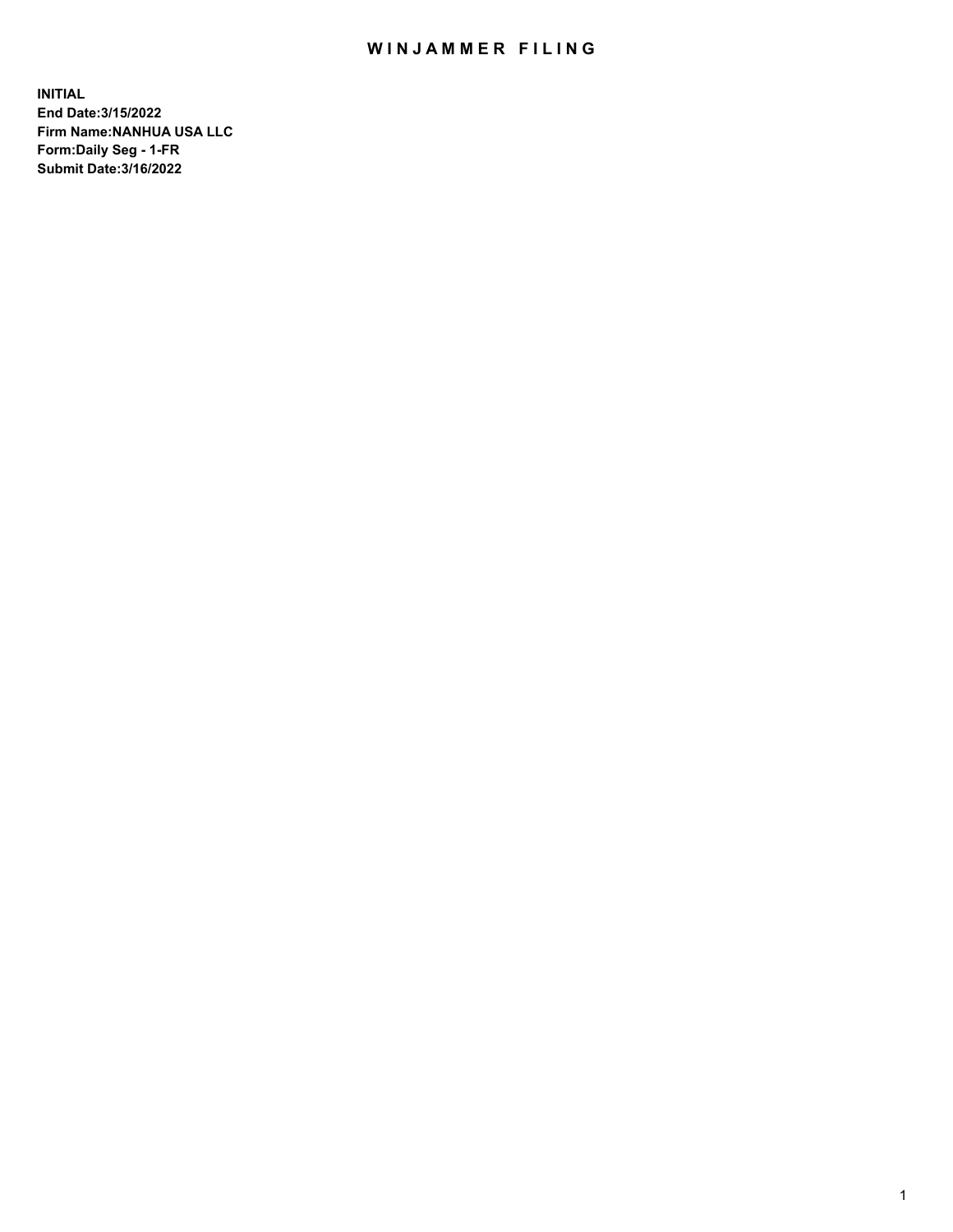## WIN JAMMER FILING

**INITIAL End Date:3/15/2022 Firm Name:NANHUA USA LLC Form:Daily Seg - 1-FR Submit Date:3/16/2022**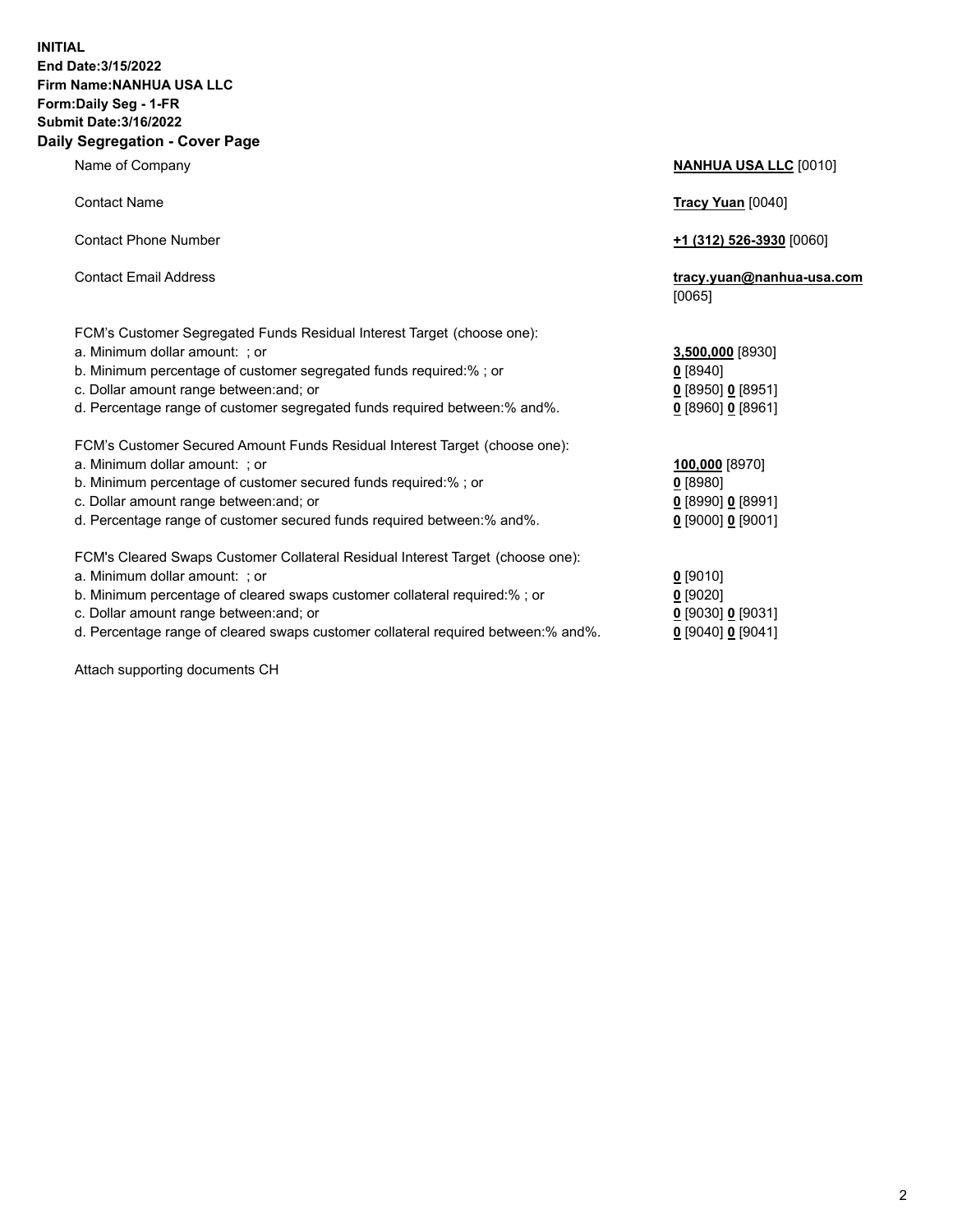## **INITIAL End Date:3/15/2022 Firm Name:NANHUA USA LLC Form:Daily Seg - 1-FR Submit Date:3/16/2022 Daily Segregation - Cover Page**

Name of Company **NANHUA USA LLC** [0010] Contact Name **Tracy Yuan** [0040] Contact Phone Number **+1 (312) 526-3930** [0060] Contact Email Address **tracy.yuan@nanhua-usa.com** [0065] FCM's Customer Segregated Funds Residual Interest Target (choose one): a. Minimum dollar amount: ; or **3,500,000** [8930] b. Minimum percentage of customer segregated funds required:% ; or **0** [8940] c. Dollar amount range between:and; or **0** [8950] **0** [8951] d. Percentage range of customer segregated funds required between:% and%. **0** [8960] **0** [8961] FCM's Customer Secured Amount Funds Residual Interest Target (choose one): a. Minimum dollar amount: ; or **100,000** [8970] b. Minimum percentage of customer secured funds required:% ; or **0** [8980] c. Dollar amount range between:and; or **0** [8990] **0** [8991] d. Percentage range of customer secured funds required between:% and%. **0** [9000] **0** [9001] FCM's Cleared Swaps Customer Collateral Residual Interest Target (choose one): a. Minimum dollar amount: ; or **0** [9010] b. Minimum percentage of cleared swaps customer collateral required:% ; or **0** [9020] c. Dollar amount range between:and; or **0** [9030] **0** [9031]

d. Percentage range of cleared swaps customer collateral required between:% and%. **0** [9040] **0** [9041]

Attach supporting documents CH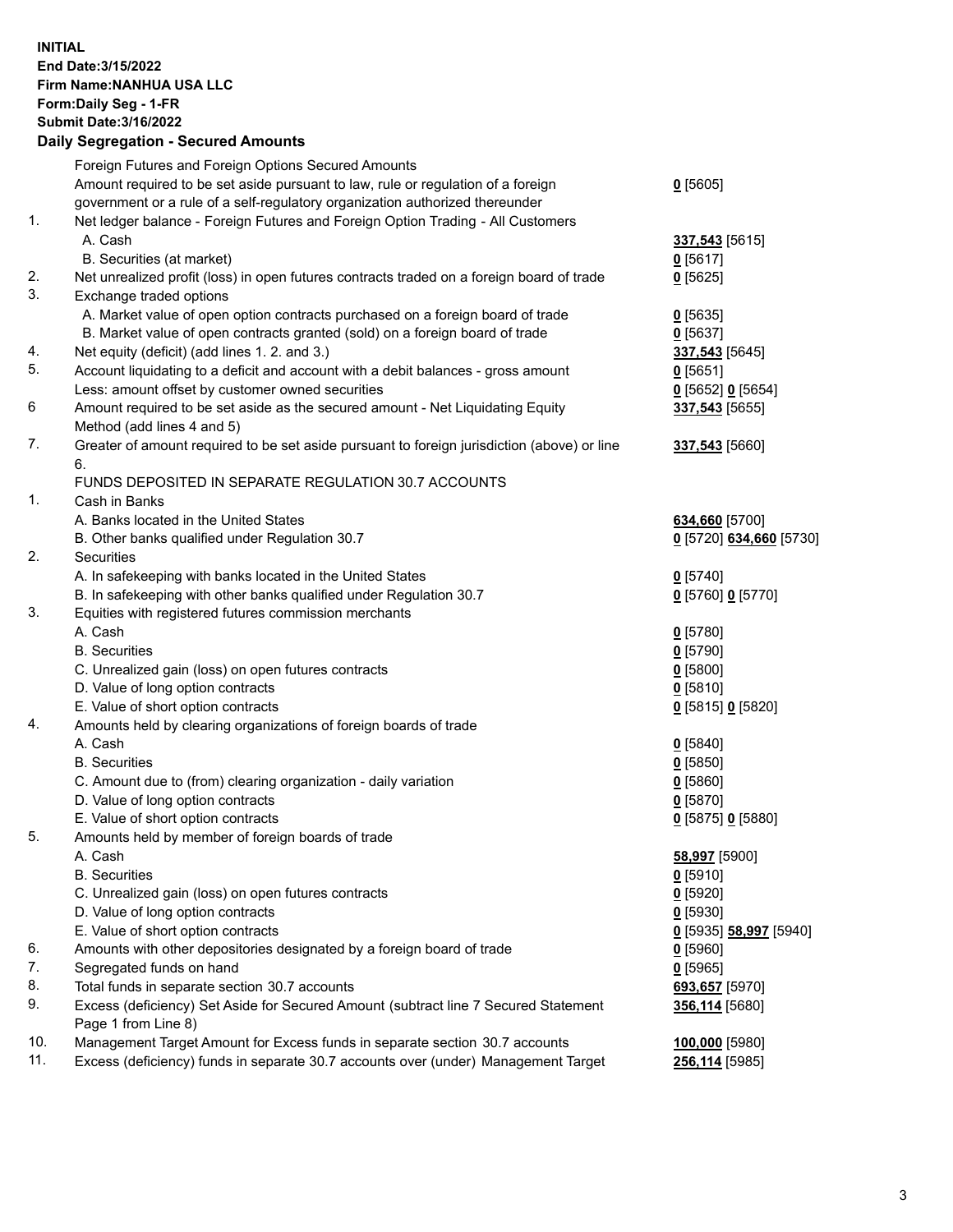## **INITIAL End Date:3/15/2022 Firm Name:NANHUA USA LLC Form:Daily Seg - 1-FR Submit Date:3/16/2022 Daily Segregation - Secured Amounts**

|     | Foreign Futures and Foreign Options Secured Amounts                                                                                                               |                                  |
|-----|-------------------------------------------------------------------------------------------------------------------------------------------------------------------|----------------------------------|
|     | Amount required to be set aside pursuant to law, rule or regulation of a foreign                                                                                  | $0$ [5605]                       |
|     | government or a rule of a self-regulatory organization authorized thereunder                                                                                      |                                  |
| 1.  | Net ledger balance - Foreign Futures and Foreign Option Trading - All Customers                                                                                   |                                  |
|     | A. Cash                                                                                                                                                           |                                  |
|     |                                                                                                                                                                   | 337,543 [5615]                   |
| 2.  | B. Securities (at market)                                                                                                                                         | $0$ [5617]                       |
| 3.  | Net unrealized profit (loss) in open futures contracts traded on a foreign board of trade                                                                         | $0$ [5625]                       |
|     | Exchange traded options                                                                                                                                           |                                  |
|     | A. Market value of open option contracts purchased on a foreign board of trade                                                                                    | $0$ [5635]                       |
|     | B. Market value of open contracts granted (sold) on a foreign board of trade                                                                                      | $0$ [5637]                       |
| 4.  | Net equity (deficit) (add lines 1. 2. and 3.)                                                                                                                     | 337,543 [5645]                   |
| 5.  | Account liquidating to a deficit and account with a debit balances - gross amount                                                                                 | $0$ [5651]                       |
|     | Less: amount offset by customer owned securities                                                                                                                  | $0$ [5652] $0$ [5654]            |
| 6   | Amount required to be set aside as the secured amount - Net Liquidating Equity                                                                                    | 337,543 [5655]                   |
|     | Method (add lines 4 and 5)                                                                                                                                        |                                  |
| 7.  | Greater of amount required to be set aside pursuant to foreign jurisdiction (above) or line                                                                       | 337,543 [5660]                   |
|     | 6.                                                                                                                                                                |                                  |
|     | FUNDS DEPOSITED IN SEPARATE REGULATION 30.7 ACCOUNTS                                                                                                              |                                  |
| 1.  | Cash in Banks                                                                                                                                                     |                                  |
|     | A. Banks located in the United States                                                                                                                             | 634,660 [5700]                   |
|     | B. Other banks qualified under Regulation 30.7                                                                                                                    | 0 [5720] 634,660 [5730]          |
| 2.  | Securities                                                                                                                                                        |                                  |
|     | A. In safekeeping with banks located in the United States                                                                                                         | $0$ [5740]                       |
|     | B. In safekeeping with other banks qualified under Regulation 30.7                                                                                                | 0 [5760] 0 [5770]                |
| 3.  | Equities with registered futures commission merchants                                                                                                             |                                  |
|     | A. Cash                                                                                                                                                           | $0$ [5780]                       |
|     | <b>B.</b> Securities                                                                                                                                              | $0$ [5790]                       |
|     | C. Unrealized gain (loss) on open futures contracts                                                                                                               | $0$ [5800]                       |
|     | D. Value of long option contracts                                                                                                                                 | $0$ [5810]                       |
|     | E. Value of short option contracts                                                                                                                                | 0 [5815] 0 [5820]                |
| 4.  | Amounts held by clearing organizations of foreign boards of trade                                                                                                 |                                  |
|     |                                                                                                                                                                   |                                  |
|     | A. Cash                                                                                                                                                           | $0$ [5840]                       |
|     | <b>B.</b> Securities                                                                                                                                              | $0$ [5850]                       |
|     | C. Amount due to (from) clearing organization - daily variation                                                                                                   | 0[5860]                          |
|     | D. Value of long option contracts                                                                                                                                 | $0$ [5870]                       |
|     | E. Value of short option contracts                                                                                                                                | 0 [5875] 0 [5880]                |
| 5.  | Amounts held by member of foreign boards of trade                                                                                                                 |                                  |
|     | A. Cash                                                                                                                                                           | 58,997 [5900]                    |
|     | <b>B.</b> Securities                                                                                                                                              | $0$ [5910]                       |
|     | C. Unrealized gain (loss) on open futures contracts                                                                                                               | $0$ [5920]                       |
|     | D. Value of long option contracts                                                                                                                                 | $0$ [5930]                       |
|     | E. Value of short option contracts                                                                                                                                | 0 [5935] 58,997 [5940]           |
| 6.  | Amounts with other depositories designated by a foreign board of trade                                                                                            | $0$ [5960]                       |
| 7.  | Segregated funds on hand                                                                                                                                          | $0$ [5965]                       |
| 8.  |                                                                                                                                                                   |                                  |
| 9.  | Total funds in separate section 30.7 accounts                                                                                                                     | 693,657 [5970]                   |
|     | Excess (deficiency) Set Aside for Secured Amount (subtract line 7 Secured Statement                                                                               | 356,114 [5680]                   |
| 10. | Page 1 from Line 8)                                                                                                                                               |                                  |
| 11. | Management Target Amount for Excess funds in separate section 30.7 accounts<br>Excess (deficiency) funds in separate 30.7 accounts over (under) Management Target | 100,000 [5980]<br>256,114 [5985] |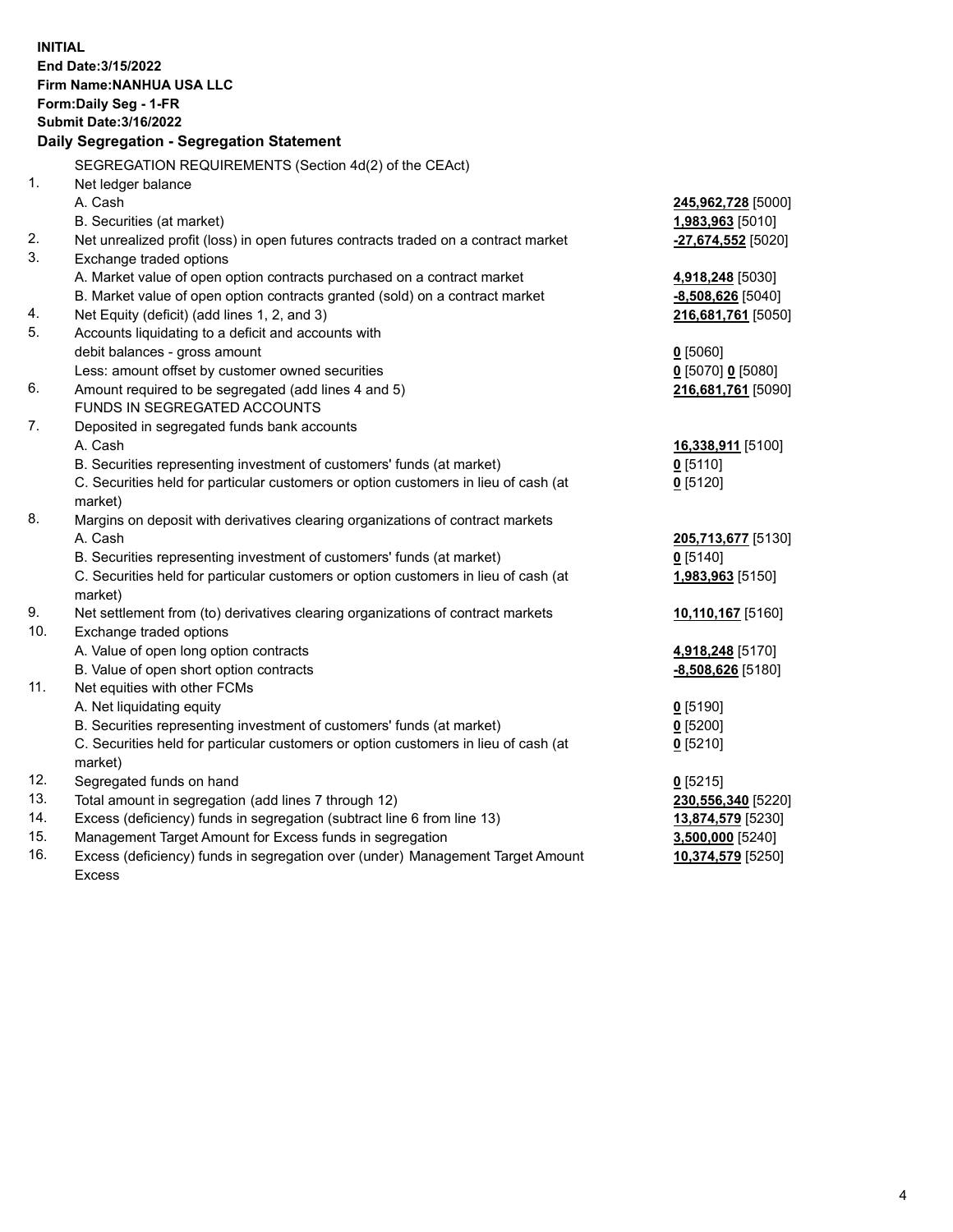| <b>INITIAL</b> | End Date: 3/15/2022<br>Firm Name: NANHUA USA LLC<br>Form: Daily Seg - 1-FR<br><b>Submit Date: 3/16/2022</b><br>Daily Segregation - Segregation Statement |                      |
|----------------|----------------------------------------------------------------------------------------------------------------------------------------------------------|----------------------|
|                | SEGREGATION REQUIREMENTS (Section 4d(2) of the CEAct)                                                                                                    |                      |
| 1.             | Net ledger balance                                                                                                                                       |                      |
|                | A. Cash                                                                                                                                                  | 245,962,728 [5000]   |
|                | B. Securities (at market)                                                                                                                                | 1,983,963 [5010]     |
| 2.             | Net unrealized profit (loss) in open futures contracts traded on a contract market                                                                       | $-27,674,552$ [5020] |
| 3.             | Exchange traded options                                                                                                                                  |                      |
|                | A. Market value of open option contracts purchased on a contract market                                                                                  | 4,918,248 [5030]     |
|                | B. Market value of open option contracts granted (sold) on a contract market                                                                             | $-8,508,626$ [5040]  |
| 4.             | Net Equity (deficit) (add lines 1, 2, and 3)                                                                                                             | 216,681,761 [5050]   |
| 5.             | Accounts liquidating to a deficit and accounts with                                                                                                      |                      |
|                | debit balances - gross amount                                                                                                                            | $0$ [5060]           |
|                | Less: amount offset by customer owned securities                                                                                                         | $0$ [5070] 0 [5080]  |
| 6.             | Amount required to be segregated (add lines 4 and 5)                                                                                                     | 216,681,761 [5090]   |
|                | FUNDS IN SEGREGATED ACCOUNTS                                                                                                                             |                      |
| 7.             | Deposited in segregated funds bank accounts                                                                                                              |                      |
|                | A. Cash                                                                                                                                                  | 16,338,911 [5100]    |
|                | B. Securities representing investment of customers' funds (at market)                                                                                    | $0$ [5110]           |
|                | C. Securities held for particular customers or option customers in lieu of cash (at                                                                      | $0$ [5120]           |
| 8.             | market)<br>Margins on deposit with derivatives clearing organizations of contract markets                                                                |                      |
|                | A. Cash                                                                                                                                                  | 205,713,677 [5130]   |
|                | B. Securities representing investment of customers' funds (at market)                                                                                    | $0$ [5140]           |
|                | C. Securities held for particular customers or option customers in lieu of cash (at                                                                      | 1,983,963 [5150]     |
|                | market)                                                                                                                                                  |                      |
| 9.             | Net settlement from (to) derivatives clearing organizations of contract markets                                                                          | 10,110,167 [5160]    |
| 10.            | Exchange traded options                                                                                                                                  |                      |
|                | A. Value of open long option contracts                                                                                                                   | 4,918,248 [5170]     |
|                | B. Value of open short option contracts                                                                                                                  | $-8,508,626$ [5180]  |
| 11.            | Net equities with other FCMs                                                                                                                             |                      |
|                | A. Net liquidating equity                                                                                                                                | $0$ [5190]           |
|                | B. Securities representing investment of customers' funds (at market)                                                                                    | $Q$ [5200]           |
|                | C. Securities held for particular customers or option customers in lieu of cash (at                                                                      | $0$ [5210]           |
|                | market)                                                                                                                                                  |                      |
| 12.            | Segregated funds on hand                                                                                                                                 | $0$ [5215]           |
| 13.            | Total amount in segregation (add lines 7 through 12)                                                                                                     | 230,556,340 [5220]   |
| 14.            | Excess (deficiency) funds in segregation (subtract line 6 from line 13)                                                                                  | 13,874,579 [5230]    |
| 15.            | Management Target Amount for Excess funds in segregation                                                                                                 | 3,500,000 [5240]     |
| 16.            | Excess (deficiency) funds in segregation over (under) Management Target Amount                                                                           | 10,374,579 [5250]    |
|                | <b>Excess</b>                                                                                                                                            |                      |